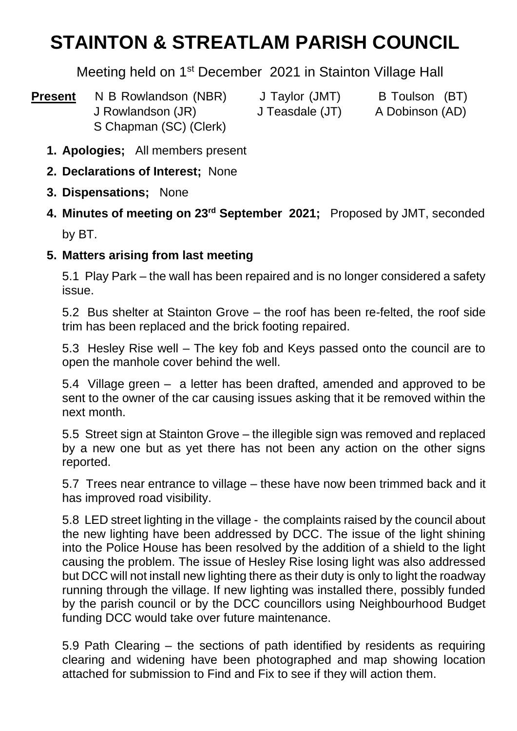# **STAINTON & STREATLAM PARISH COUNCIL**

Meeting held on 1st December 2021 in Stainton Village Hall

- **Present** N B Rowlandson (NBR) J Taylor (JMT) B Toulson (BT) J Rowlandson (JR) J Teasdale (JT) A Dobinson (AD) S Chapman (SC) (Clerk)
	- **1. Apologies;** All members present
	- **2. Declarations of Interest;** None
	- **3. Dispensations;** None
	- 4. Minutes of meeting on 23<sup>rd</sup> September 2021; Proposed by JMT, seconded by BT.

## **5. Matters arising from last meeting**

5.1 Play Park – the wall has been repaired and is no longer considered a safety issue.

5.2 Bus shelter at Stainton Grove – the roof has been re-felted, the roof side trim has been replaced and the brick footing repaired.

5.3 Hesley Rise well – The key fob and Keys passed onto the council are to open the manhole cover behind the well.

5.4 Village green – a letter has been drafted, amended and approved to be sent to the owner of the car causing issues asking that it be removed within the next month.

5.5 Street sign at Stainton Grove – the illegible sign was removed and replaced by a new one but as yet there has not been any action on the other signs reported.

5.7 Trees near entrance to village – these have now been trimmed back and it has improved road visibility.

5.8 LED street lighting in the village - the complaints raised by the council about the new lighting have been addressed by DCC. The issue of the light shining into the Police House has been resolved by the addition of a shield to the light causing the problem. The issue of Hesley Rise losing light was also addressed but DCC will not install new lighting there as their duty is only to light the roadway running through the village. If new lighting was installed there, possibly funded by the parish council or by the DCC councillors using Neighbourhood Budget funding DCC would take over future maintenance.

5.9 Path Clearing – the sections of path identified by residents as requiring clearing and widening have been photographed and map showing location attached for submission to Find and Fix to see if they will action them.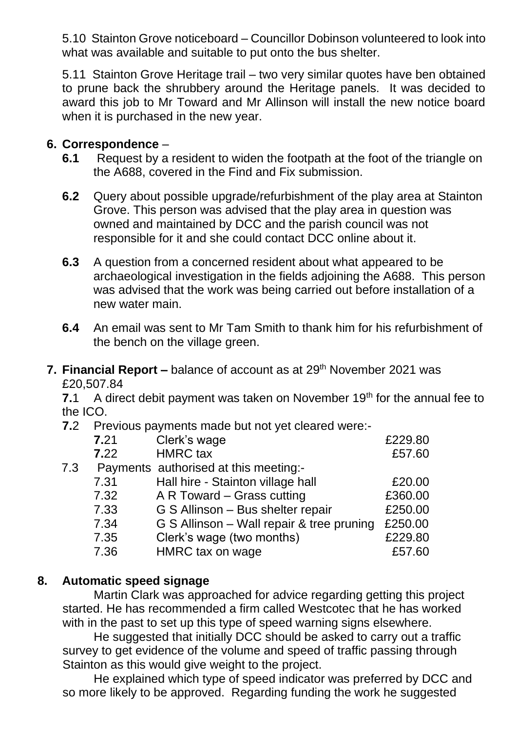5.10 Stainton Grove noticeboard – Councillor Dobinson volunteered to look into what was available and suitable to put onto the bus shelter.

5.11 Stainton Grove Heritage trail – two very similar quotes have ben obtained to prune back the shrubbery around the Heritage panels. It was decided to award this job to Mr Toward and Mr Allinson will install the new notice board when it is purchased in the new year.

#### **6. Correspondence** –

- **6.1** Request by a resident to widen the footpath at the foot of the triangle on the A688, covered in the Find and Fix submission.
- **6.2** Query about possible upgrade/refurbishment of the play area at Stainton Grove. This person was advised that the play area in question was owned and maintained by DCC and the parish council was not responsible for it and she could contact DCC online about it.
- **6.3** A question from a concerned resident about what appeared to be archaeological investigation in the fields adjoining the A688. This person was advised that the work was being carried out before installation of a new water main.
- **6.4** An email was sent to Mr Tam Smith to thank him for his refurbishment of the bench on the village green.

**7. Financial Report –** balance of account as at 29<sup>th</sup> November 2021 was £20,507.84

**7.1** A direct debit payment was taken on November 19<sup>th</sup> for the annual fee to the ICO.

**7.2** Previous payments made but not yet cleared were:-

|     | 7.21 | Clerk's wage                              | £229.80 |
|-----|------|-------------------------------------------|---------|
|     | 7.22 | <b>HMRC</b> tax                           | £57.60  |
| 7.3 |      | Payments authorised at this meeting:-     |         |
|     | 7.31 | Hall hire - Stainton village hall         | £20.00  |
|     | 7.32 | A R Toward – Grass cutting                | £360.00 |
|     | 7.33 | G S Allinson - Bus shelter repair         | £250.00 |
|     | 7.34 | G S Allinson - Wall repair & tree pruning | £250.00 |
|     | 7.35 | Clerk's wage (two months)                 | £229.80 |
|     | 7.36 | HMRC tax on wage                          | £57.60  |

#### **8. Automatic speed signage**

Martin Clark was approached for advice regarding getting this project started. He has recommended a firm called Westcotec that he has worked with in the past to set up this type of speed warning signs elsewhere.

He suggested that initially DCC should be asked to carry out a traffic survey to get evidence of the volume and speed of traffic passing through Stainton as this would give weight to the project.

He explained which type of speed indicator was preferred by DCC and so more likely to be approved. Regarding funding the work he suggested